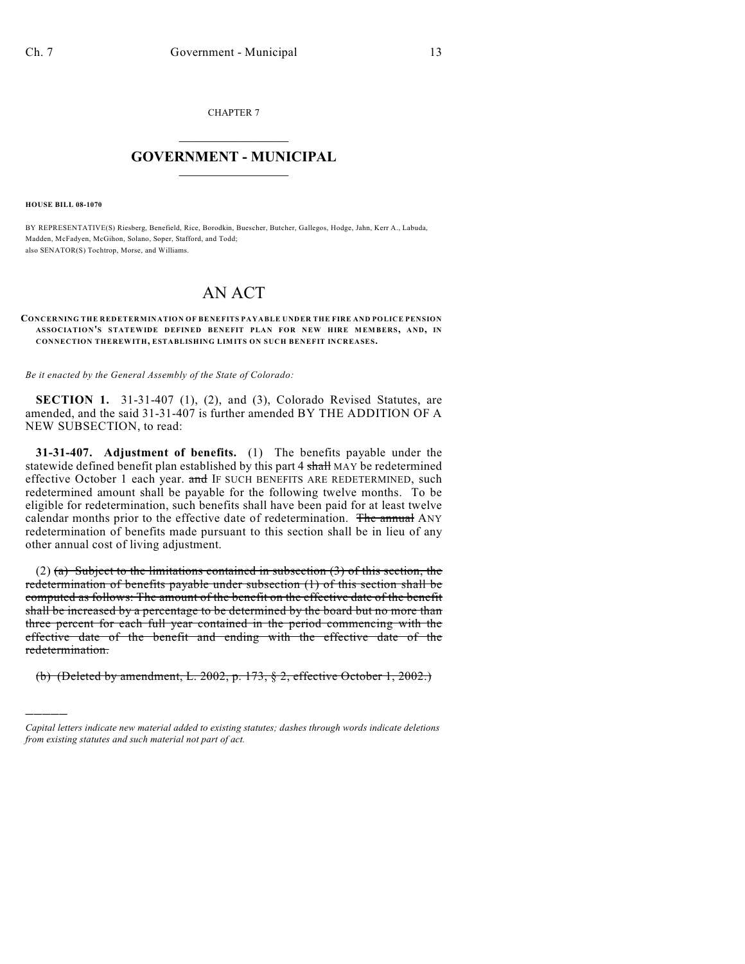CHAPTER 7

## $\overline{\phantom{a}}$  . The set of the set of the set of the set of the set of the set of the set of the set of the set of the set of the set of the set of the set of the set of the set of the set of the set of the set of the set o **GOVERNMENT - MUNICIPAL**  $\_$

**HOUSE BILL 08-1070**

)))))

BY REPRESENTATIVE(S) Riesberg, Benefield, Rice, Borodkin, Buescher, Butcher, Gallegos, Hodge, Jahn, Kerr A., Labuda, Madden, McFadyen, McGihon, Solano, Soper, Stafford, and Todd; also SENATOR(S) Tochtrop, Morse, and Williams.

## AN ACT

## **CONCERNING THE REDETERMINATION OF BENEFITS PAYABLE UNDER THE FIRE AND POLICE PENSION ASSOCIATIO N'S STATEWIDE DEFINED BENEFIT PLAN FOR NEW HIRE MEMBERS, AND, IN CONNECTION THEREWITH, ESTABLISHING LIMITS ON SUCH BENEFIT INCREASES.**

*Be it enacted by the General Assembly of the State of Colorado:*

**SECTION 1.** 31-31-407 (1), (2), and (3), Colorado Revised Statutes, are amended, and the said 31-31-407 is further amended BY THE ADDITION OF A NEW SUBSECTION, to read:

**31-31-407. Adjustment of benefits.** (1) The benefits payable under the statewide defined benefit plan established by this part 4 shall MAY be redetermined effective October 1 each year. and IF SUCH BENEFITS ARE REDETERMINED, such redetermined amount shall be payable for the following twelve months. To be eligible for redetermination, such benefits shall have been paid for at least twelve calendar months prior to the effective date of redetermination. The annual ANY redetermination of benefits made pursuant to this section shall be in lieu of any other annual cost of living adjustment.

(2) (a) Subject to the limitations contained in subsection (3) of this section, the redetermination of benefits payable under subsection (1) of this section shall be computed as follows: The amount of the benefit on the effective date of the benefit shall be increased by a percentage to be determined by the board but no more than three percent for each full year contained in the period commencing with the effective date of the benefit and ending with the effective date of the redetermination.

(b) (Deleted by amendment, L. 2002, p. 173, § 2, effective October 1, 2002.)

*Capital letters indicate new material added to existing statutes; dashes through words indicate deletions from existing statutes and such material not part of act.*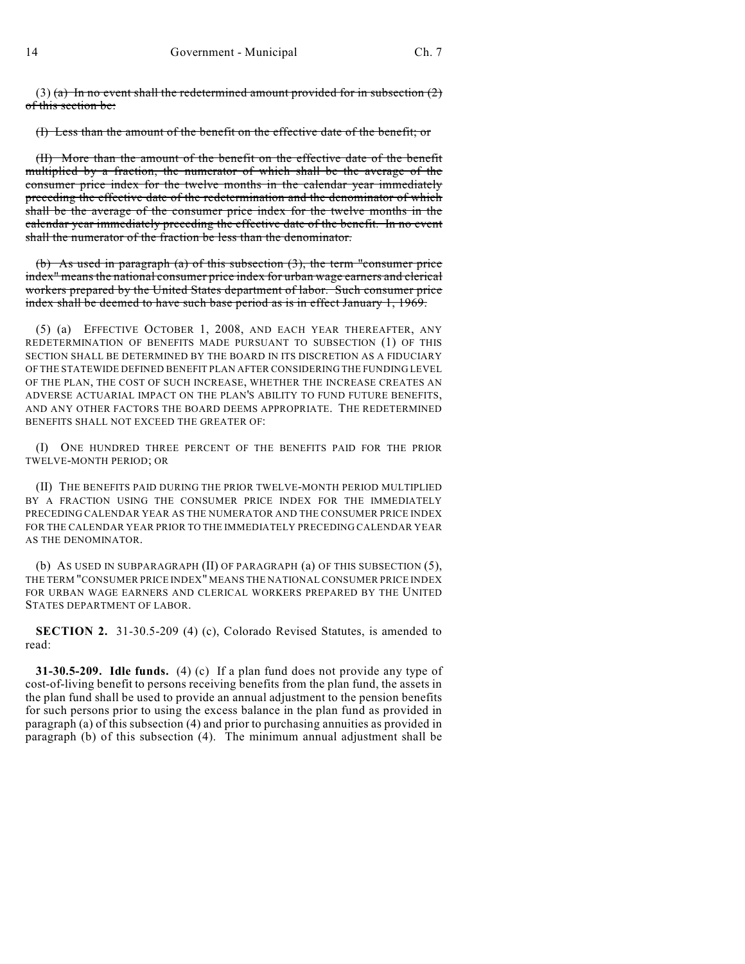(3) (a) In no event shall the redetermined amount provided for in subsection  $(2)$ of this section be:

(I) Less than the amount of the benefit on the effective date of the benefit; or

(II) More than the amount of the benefit on the effective date of the benefit multiplied by a fraction, the numerator of which shall be the average of the consumer price index for the twelve months in the calendar year immediately preceding the effective date of the redetermination and the denominator of which shall be the average of the consumer price index for the twelve months in the calendar year immediately preceding the effective date of the benefit. In no event shall the numerator of the fraction be less than the denominator.

(b) As used in paragraph (a) of this subsection (3), the term "consumer price index" means the national consumer price index for urban wage earners and clerical workers prepared by the United States department of labor. Such consumer price index shall be deemed to have such base period as is in effect January 1, 1969.

(5) (a) EFFECTIVE OCTOBER 1, 2008, AND EACH YEAR THEREAFTER, ANY REDETERMINATION OF BENEFITS MADE PURSUANT TO SUBSECTION (1) OF THIS SECTION SHALL BE DETERMINED BY THE BOARD IN ITS DISCRETION AS A FIDUCIARY OF THE STATEWIDE DEFINED BENEFIT PLAN AFTER CONSIDERING THE FUNDING LEVEL OF THE PLAN, THE COST OF SUCH INCREASE, WHETHER THE INCREASE CREATES AN ADVERSE ACTUARIAL IMPACT ON THE PLAN'S ABILITY TO FUND FUTURE BENEFITS, AND ANY OTHER FACTORS THE BOARD DEEMS APPROPRIATE. THE REDETERMINED BENEFITS SHALL NOT EXCEED THE GREATER OF:

(I) ONE HUNDRED THREE PERCENT OF THE BENEFITS PAID FOR THE PRIOR TWELVE-MONTH PERIOD; OR

(II) THE BENEFITS PAID DURING THE PRIOR TWELVE-MONTH PERIOD MULTIPLIED BY A FRACTION USING THE CONSUMER PRICE INDEX FOR THE IMMEDIATELY PRECEDING CALENDAR YEAR AS THE NUMERATOR AND THE CONSUMER PRICE INDEX FOR THE CALENDAR YEAR PRIOR TO THE IMMEDIATELY PRECEDING CALENDAR YEAR AS THE DENOMINATOR.

(b) AS USED IN SUBPARAGRAPH (II) OF PARAGRAPH (a) OF THIS SUBSECTION (5), THE TERM "CONSUMER PRICE INDEX" MEANS THE NATIONAL CONSUMER PRICE INDEX FOR URBAN WAGE EARNERS AND CLERICAL WORKERS PREPARED BY THE UNITED STATES DEPARTMENT OF LABOR.

**SECTION 2.** 31-30.5-209 (4) (c), Colorado Revised Statutes, is amended to read:

**31-30.5-209. Idle funds.** (4) (c) If a plan fund does not provide any type of cost-of-living benefit to persons receiving benefits from the plan fund, the assets in the plan fund shall be used to provide an annual adjustment to the pension benefits for such persons prior to using the excess balance in the plan fund as provided in paragraph (a) of this subsection (4) and prior to purchasing annuities as provided in paragraph (b) of this subsection (4). The minimum annual adjustment shall be